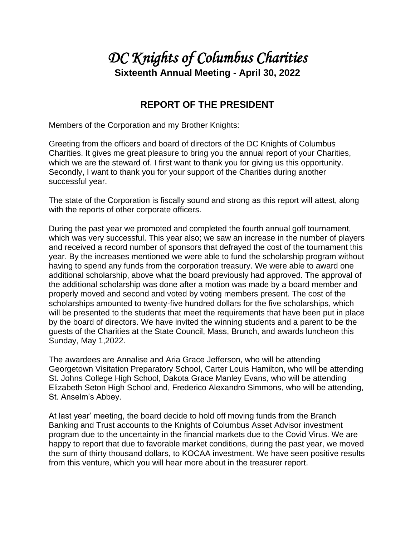## *DC Knights of Columbus Charities*  **Sixteenth Annual Meeting - April 30, 2022**

## **REPORT OF THE PRESIDENT**

Members of the Corporation and my Brother Knights:

Greeting from the officers and board of directors of the DC Knights of Columbus Charities. It gives me great pleasure to bring you the annual report of your Charities, which we are the steward of. I first want to thank you for giving us this opportunity. Secondly, I want to thank you for your support of the Charities during another successful year.

The state of the Corporation is fiscally sound and strong as this report will attest, along with the reports of other corporate officers.

During the past year we promoted and completed the fourth annual golf tournament, which was very successful. This year also; we saw an increase in the number of players and received a record number of sponsors that defrayed the cost of the tournament this year. By the increases mentioned we were able to fund the scholarship program without having to spend any funds from the corporation treasury. We were able to award one additional scholarship, above what the board previously had approved. The approval of the additional scholarship was done after a motion was made by a board member and properly moved and second and voted by voting members present. The cost of the scholarships amounted to twenty-five hundred dollars for the five scholarships, which will be presented to the students that meet the requirements that have been put in place by the board of directors. We have invited the winning students and a parent to be the guests of the Charities at the State Council, Mass, Brunch, and awards luncheon this Sunday, May 1,2022.

The awardees are Annalise and Aria Grace Jefferson, who will be attending Georgetown Visitation Preparatory School, Carter Louis Hamilton, who will be attending St. Johns College High School, Dakota Grace Manley Evans, who will be attending Elizabeth Seton High School and, Frederico Alexandro Simmons, who will be attending, St. Anselm's Abbey.

At last year' meeting, the board decide to hold off moving funds from the Branch Banking and Trust accounts to the Knights of Columbus Asset Advisor investment program due to the uncertainty in the financial markets due to the Covid Virus. We are happy to report that due to favorable market conditions, during the past year, we moved the sum of thirty thousand dollars, to KOCAA investment. We have seen positive results from this venture, which you will hear more about in the treasurer report.